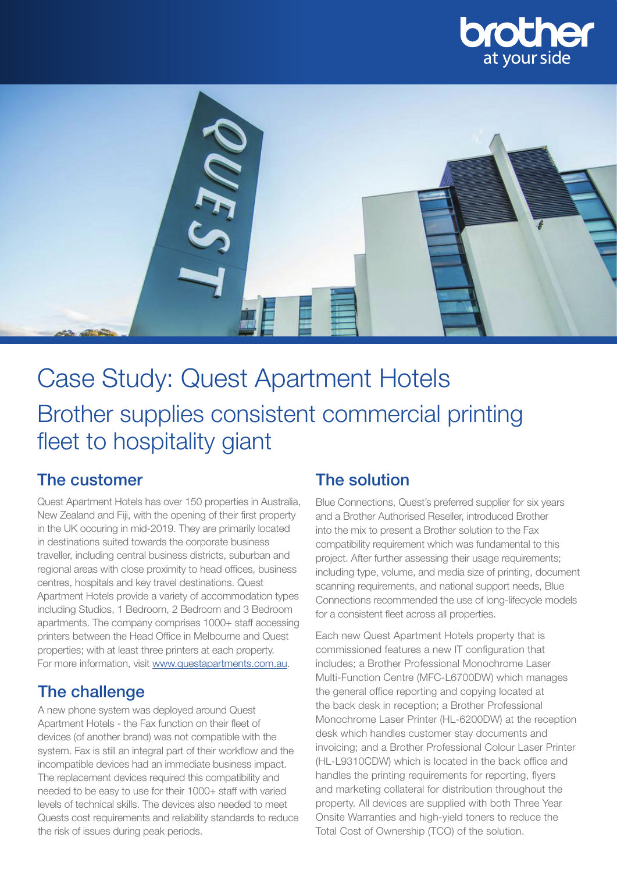



# Case Study: Quest Apartment Hotels Brother supplies consistent commercial printing fleet to hospitality giant

#### The customer

Quest Apartment Hotels has over 150 properties in Australia, New Zealand and Fiji, with the opening of their first property in the UK occuring in mid-2019. They are primarily located in destinations suited towards the corporate business traveller, including central business districts, suburban and regional areas with close proximity to head offices, business centres, hospitals and key travel destinations. Quest Apartment Hotels provide a variety of accommodation types including Studios, 1 Bedroom, 2 Bedroom and 3 Bedroom apartments. The company comprises 1000+ staff accessing printers between the Head Office in Melbourne and Quest properties; with at least three printers at each property. For more information, visit www.questapartments.com.au.

### The challenge

A new phone system was deployed around Quest Apartment Hotels - the Fax function on their fleet of devices (of another brand) was not compatible with the system. Fax is still an integral part of their workflow and the incompatible devices had an immediate business impact. The replacement devices required this compatibility and needed to be easy to use for their 1000+ staff with varied levels of technical skills. The devices also needed to meet Quests cost requirements and reliability standards to reduce the risk of issues during peak periods.

### The solution

Blue Connections, Quest's preferred supplier for six years and a Brother Authorised Reseller, introduced Brother into the mix to present a Brother solution to the Fax compatibility requirement which was fundamental to this project. After further assessing their usage requirements; including type, volume, and media size of printing, document scanning requirements, and national support needs, Blue Connections recommended the use of long-lifecycle models for a consistent fleet across all properties.

Each new Quest Apartment Hotels property that is commissioned features a new IT configuration that includes; a Brother Professional Monochrome Laser Multi-Function Centre (MFC-L6700DW) which manages the general office reporting and copying located at the back desk in reception; a Brother Professional Monochrome Laser Printer (HL-6200DW) at the reception desk which handles customer stay documents and invoicing; and a Brother Professional Colour Laser Printer (HL-L9310CDW) which is located in the back office and handles the printing requirements for reporting, flyers and marketing collateral for distribution throughout the property. All devices are supplied with both Three Year Onsite Warranties and high-yield toners to reduce the Total Cost of Ownership (TCO) of the solution.